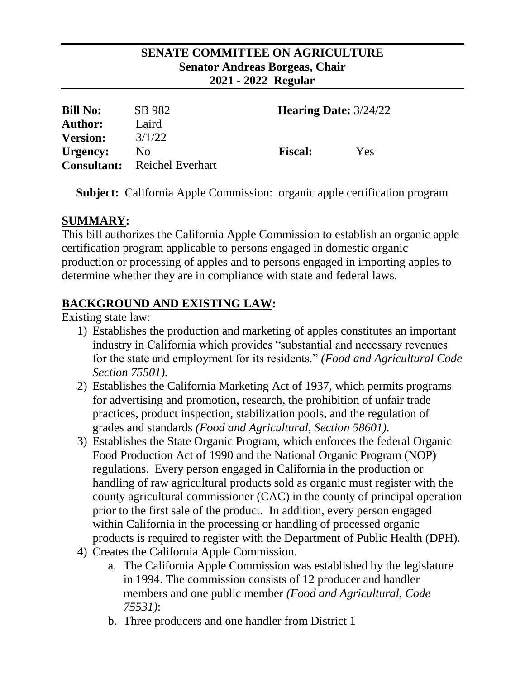### **SENATE COMMITTEE ON AGRICULTURE Senator Andreas Borgeas, Chair 2021 - 2022 Regular**

| <b>Bill No:</b> | SB 982                              | <b>Hearing Date: 3/24/22</b> |     |
|-----------------|-------------------------------------|------------------------------|-----|
| <b>Author:</b>  | Laird                               |                              |     |
| <b>Version:</b> | 3/1/22                              |                              |     |
| Urgency:        | No.                                 | <b>Fiscal:</b>               | Yes |
|                 | <b>Consultant:</b> Reichel Everhart |                              |     |

**Subject:** California Apple Commission: organic apple certification program

# **SUMMARY:**

This bill authorizes the California Apple Commission to establish an organic apple certification program applicable to persons engaged in domestic organic production or processing of apples and to persons engaged in importing apples to determine whether they are in compliance with state and federal laws.

# **BACKGROUND AND EXISTING LAW:**

Existing state law:

- 1) Establishes the production and marketing of apples constitutes an important industry in California which provides "substantial and necessary revenues for the state and employment for its residents." *(Food and Agricultural Code Section 75501).*
- 2) Establishes the California Marketing Act of 1937, which permits programs for advertising and promotion, research, the prohibition of unfair trade practices, product inspection, stabilization pools, and the regulation of grades and standards *(Food and Agricultural, Section 58601).*
- 3) Establishes the State Organic Program, which enforces the federal Organic Food Production Act of 1990 and the National Organic Program (NOP) regulations. Every person engaged in California in the production or handling of raw agricultural products sold as organic must register with the county agricultural commissioner (CAC) in the county of principal operation prior to the first sale of the product. In addition, every person engaged within California in the processing or handling of processed organic products is required to register with the Department of Public Health (DPH).
- 4) Creates the California Apple Commission.
	- a. The California Apple Commission was established by the legislature in 1994. The commission consists of 12 producer and handler members and one public member *(Food and Agricultural, Code 75531)*:
	- b. Three producers and one handler from District 1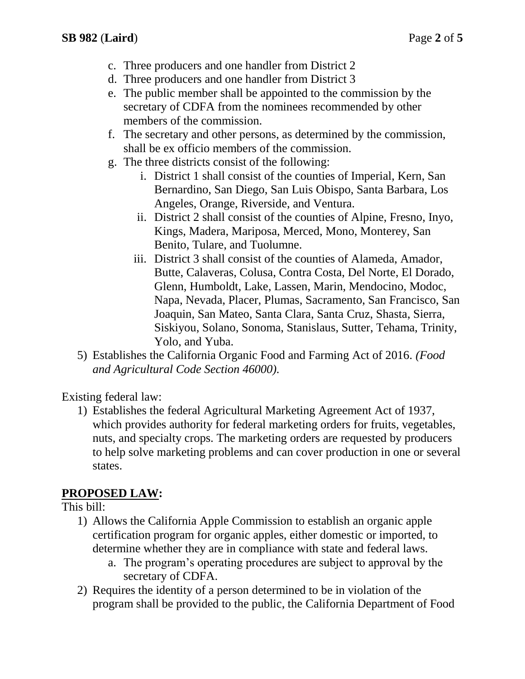- c. Three producers and one handler from District 2
- d. Three producers and one handler from District 3
- e. The public member shall be appointed to the commission by the secretary of CDFA from the nominees recommended by other members of the commission.
- f. The secretary and other persons, as determined by the commission, shall be ex officio members of the commission.
- g. The three districts consist of the following:
	- i. District 1 shall consist of the counties of Imperial, Kern, San Bernardino, San Diego, San Luis Obispo, Santa Barbara, Los Angeles, Orange, Riverside, and Ventura.
	- ii. District 2 shall consist of the counties of Alpine, Fresno, Inyo, Kings, Madera, Mariposa, Merced, Mono, Monterey, San Benito, Tulare, and Tuolumne.
	- iii. District 3 shall consist of the counties of Alameda, Amador, Butte, Calaveras, Colusa, Contra Costa, Del Norte, El Dorado, Glenn, Humboldt, Lake, Lassen, Marin, Mendocino, Modoc, Napa, Nevada, Placer, Plumas, Sacramento, San Francisco, San Joaquin, San Mateo, Santa Clara, Santa Cruz, Shasta, Sierra, Siskiyou, Solano, Sonoma, Stanislaus, Sutter, Tehama, Trinity, Yolo, and Yuba.
- 5) Establishes the California Organic Food and Farming Act of 2016. *(Food and Agricultural Code Section 46000).*

Existing federal law:

1) Establishes the federal Agricultural Marketing Agreement Act of 1937, which provides authority for federal marketing orders for fruits, vegetables, nuts, and specialty crops. The marketing orders are requested by producers to help solve marketing problems and can cover production in one or several states.

### **PROPOSED LAW:**

#### This bill:

- 1) Allows the California Apple Commission to establish an organic apple certification program for organic apples, either domestic or imported, to determine whether they are in compliance with state and federal laws.
	- a. The program's operating procedures are subject to approval by the secretary of CDFA.
- 2) Requires the identity of a person determined to be in violation of the program shall be provided to the public, the California Department of Food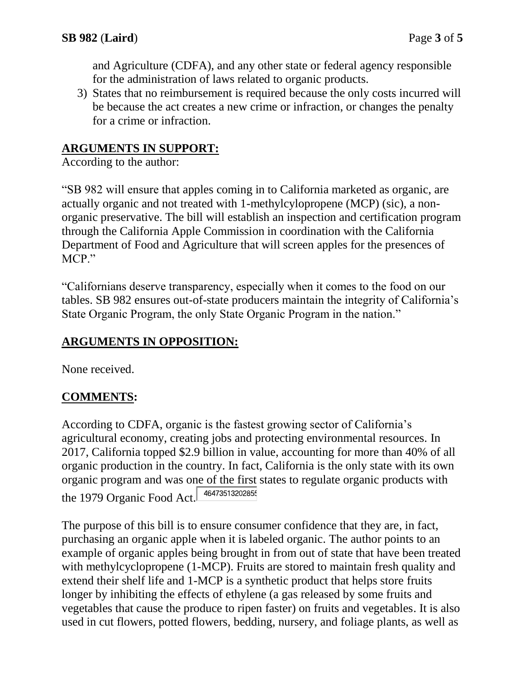and Agriculture (CDFA), and any other state or federal agency responsible for the administration of laws related to organic products.

3) States that no reimbursement is required because the only costs incurred will be because the act creates a new crime or infraction, or changes the penalty for a crime or infraction.

### **ARGUMENTS IN SUPPORT:**

According to the author:

"SB 982 will ensure that apples coming in to California marketed as organic, are actually organic and not treated with 1-methylcylopropene (MCP) (sic), a nonorganic preservative. The bill will establish an inspection and certification program through the California Apple Commission in coordination with the California Department of Food and Agriculture that will screen apples for the presences of MCP."

"Californians deserve transparency, especially when it comes to the food on our tables. SB 982 ensures out-of-state producers maintain the integrity of California's State Organic Program, the only State Organic Program in the nation."

### **ARGUMENTS IN OPPOSITION:**

None received.

### **COMMENTS:**

According to CDFA, organic is the fastest growing sector of California's agricultural economy, creating jobs and protecting environmental resources. In 2017, California topped \$2.9 billion in value, accounting for more than 40% of all organic production in the country. In fact, California is the only state with its own organic program and was one of the first states to regulate organic products with the 1979 Organic Food Act.

The purpose of this bill is to ensure consumer confidence that they are, in fact, purchasing an organic apple when it is labeled organic. The author points to an example of organic apples being brought in from out of state that have been treated with methylcyclopropene (1-MCP). Fruits are stored to maintain fresh quality and extend their shelf life and 1-MCP is a synthetic product that helps store fruits longer by inhibiting the effects of ethylene (a gas released by some fruits and vegetables that cause the produce to ripen faster) on fruits and vegetables. It is also used in cut flowers, potted flowers, bedding, nursery, and foliage plants, as well as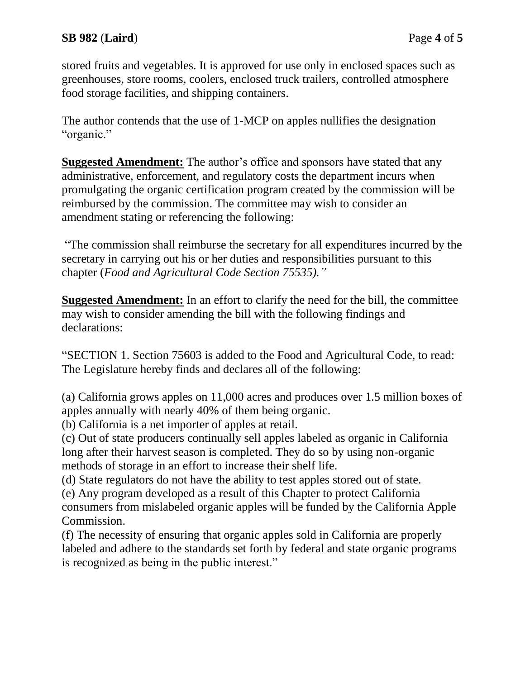stored fruits and vegetables. It is approved for use only in enclosed spaces such as greenhouses, store rooms, coolers, enclosed truck trailers, controlled atmosphere food storage facilities, and shipping containers.

The author contends that the use of 1-MCP on apples nullifies the designation "organic."

**Suggested Amendment:** The author's office and sponsors have stated that any administrative, enforcement, and regulatory costs the department incurs when promulgating the organic certification program created by the commission will be reimbursed by the commission. The committee may wish to consider an amendment stating or referencing the following:

"The commission shall reimburse the secretary for all expenditures incurred by the secretary in carrying out his or her duties and responsibilities pursuant to this chapter (*Food and Agricultural Code Section 75535)."*

**Suggested Amendment:** In an effort to clarify the need for the bill, the committee may wish to consider amending the bill with the following findings and declarations:

"SECTION 1. Section 75603 is added to the Food and Agricultural Code, to read: The Legislature hereby finds and declares all of the following:

(a) California grows apples on 11,000 acres and produces over 1.5 million boxes of apples annually with nearly 40% of them being organic.

(b) California is a net importer of apples at retail.

(c) Out of state producers continually sell apples labeled as organic in California long after their harvest season is completed. They do so by using non-organic methods of storage in an effort to increase their shelf life.

(d) State regulators do not have the ability to test apples stored out of state.

(e) Any program developed as a result of this Chapter to protect California consumers from mislabeled organic apples will be funded by the California Apple Commission.

(f) The necessity of ensuring that organic apples sold in California are properly labeled and adhere to the standards set forth by federal and state organic programs is recognized as being in the public interest."